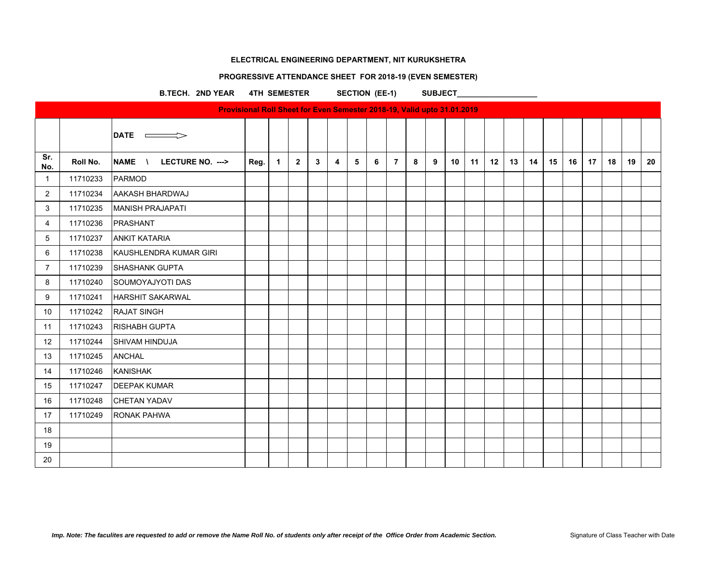# **PROGRESSIVE ATTENDANCE SHEET FOR 2018-19 (EVEN SEMESTER)**

B.TECH. 2ND YEAR 4TH SEMESTER SECTION (EE-1) SUBJECT\_

|                |          | <b>Provisional Roll Sheet for Even Semester 2018-19, Valid upto 31.01.2019</b> |      |   |                |   |   |   |   |                |   |   |    |    |    |    |    |    |    |    |    |    |    |
|----------------|----------|--------------------------------------------------------------------------------|------|---|----------------|---|---|---|---|----------------|---|---|----|----|----|----|----|----|----|----|----|----|----|
|                |          | <b>DATE</b><br>$\overline{a}$                                                  |      |   |                |   |   |   |   |                |   |   |    |    |    |    |    |    |    |    |    |    |    |
| Sr.<br>No.     | Roll No. | NAME \<br>LECTURE NO. --->                                                     | Reg. | 1 | $\overline{2}$ | 3 | 4 | 5 | 6 | $\overline{7}$ | 8 | 9 | 10 | 11 | 12 | 13 | 14 | 15 | 16 | 17 | 18 | 19 | 20 |
| $\mathbf{1}$   | 11710233 | PARMOD                                                                         |      |   |                |   |   |   |   |                |   |   |    |    |    |    |    |    |    |    |    |    |    |
| $\overline{2}$ | 11710234 | <b>AAKASH BHARDWAJ</b>                                                         |      |   |                |   |   |   |   |                |   |   |    |    |    |    |    |    |    |    |    |    |    |
| 3              | 11710235 | <b>MANISH PRAJAPATI</b>                                                        |      |   |                |   |   |   |   |                |   |   |    |    |    |    |    |    |    |    |    |    |    |
| 4              | 11710236 | PRASHANT                                                                       |      |   |                |   |   |   |   |                |   |   |    |    |    |    |    |    |    |    |    |    |    |
| 5              | 11710237 | <b>ANKIT KATARIA</b>                                                           |      |   |                |   |   |   |   |                |   |   |    |    |    |    |    |    |    |    |    |    |    |
| 6              | 11710238 | IKAUSHLENDRA KUMAR GIRI                                                        |      |   |                |   |   |   |   |                |   |   |    |    |    |    |    |    |    |    |    |    |    |
| $\overline{7}$ | 11710239 | <b>SHASHANK GUPTA</b>                                                          |      |   |                |   |   |   |   |                |   |   |    |    |    |    |    |    |    |    |    |    |    |
| 8              | 11710240 | SOUMOYAJYOTI DAS                                                               |      |   |                |   |   |   |   |                |   |   |    |    |    |    |    |    |    |    |    |    |    |
| 9              | 11710241 | <b>HARSHIT SAKARWAL</b>                                                        |      |   |                |   |   |   |   |                |   |   |    |    |    |    |    |    |    |    |    |    |    |
| 10             | 11710242 | <b>RAJAT SINGH</b>                                                             |      |   |                |   |   |   |   |                |   |   |    |    |    |    |    |    |    |    |    |    |    |
| 11             | 11710243 | <b>RISHABH GUPTA</b>                                                           |      |   |                |   |   |   |   |                |   |   |    |    |    |    |    |    |    |    |    |    |    |
| 12             | 11710244 | <b>SHIVAM HINDUJA</b>                                                          |      |   |                |   |   |   |   |                |   |   |    |    |    |    |    |    |    |    |    |    |    |
| 13             | 11710245 | <b>ANCHAL</b>                                                                  |      |   |                |   |   |   |   |                |   |   |    |    |    |    |    |    |    |    |    |    |    |
| 14             | 11710246 | <b>KANISHAK</b>                                                                |      |   |                |   |   |   |   |                |   |   |    |    |    |    |    |    |    |    |    |    |    |
| 15             | 11710247 | <b>DEEPAK KUMAR</b>                                                            |      |   |                |   |   |   |   |                |   |   |    |    |    |    |    |    |    |    |    |    |    |
| 16             | 11710248 | <b>CHETAN YADAV</b>                                                            |      |   |                |   |   |   |   |                |   |   |    |    |    |    |    |    |    |    |    |    |    |
| 17             | 11710249 | <b>RONAK PAHWA</b>                                                             |      |   |                |   |   |   |   |                |   |   |    |    |    |    |    |    |    |    |    |    |    |
| 18             |          |                                                                                |      |   |                |   |   |   |   |                |   |   |    |    |    |    |    |    |    |    |    |    |    |
| 19             |          |                                                                                |      |   |                |   |   |   |   |                |   |   |    |    |    |    |    |    |    |    |    |    |    |
| 20             |          |                                                                                |      |   |                |   |   |   |   |                |   |   |    |    |    |    |    |    |    |    |    |    |    |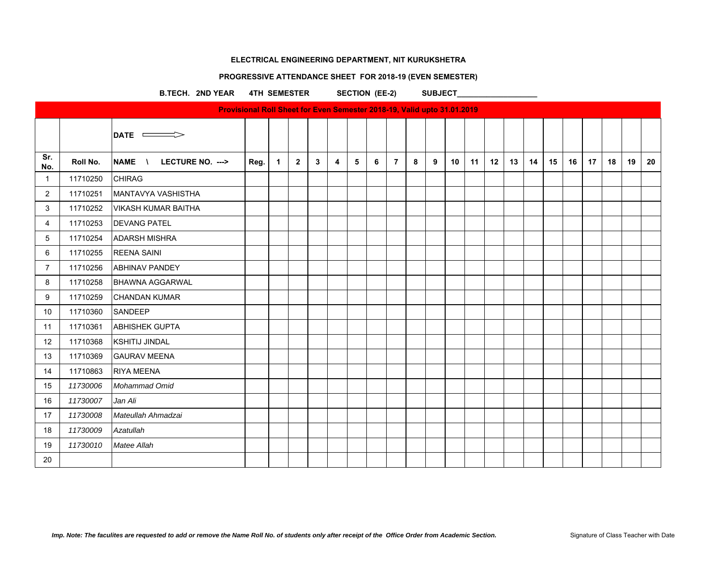# **PROGRESSIVE ATTENDANCE SHEET FOR 2018-19 (EVEN SEMESTER)**

B.TECH. 2ND YEAR 4TH SEMESTER SECTION (EE-2) SUBJECT\_

|                |          |                            | Provisional Roll Sheet for Even Semester 2018-19, Valid upto 31.01.2019 |                      |              |   |   |   |   |                |   |   |    |    |                  |    |    |    |    |    |    |    |    |
|----------------|----------|----------------------------|-------------------------------------------------------------------------|----------------------|--------------|---|---|---|---|----------------|---|---|----|----|------------------|----|----|----|----|----|----|----|----|
|                |          | DATE =                     |                                                                         |                      |              |   |   |   |   |                |   |   |    |    |                  |    |    |    |    |    |    |    |    |
| Sr.<br>No.     | Roll No. | NAME \<br>LECTURE NO. ---> | Reg.                                                                    | $\blacktriangleleft$ | $\mathbf{2}$ | 3 | 4 | 5 | 6 | $\overline{7}$ | 8 | 9 | 10 | 11 | 12 <sup>12</sup> | 13 | 14 | 15 | 16 | 17 | 18 | 19 | 20 |
| $\mathbf{1}$   | 11710250 | <b>CHIRAG</b>              |                                                                         |                      |              |   |   |   |   |                |   |   |    |    |                  |    |    |    |    |    |    |    |    |
| $\overline{2}$ | 11710251 | MANTAVYA VASHISTHA         |                                                                         |                      |              |   |   |   |   |                |   |   |    |    |                  |    |    |    |    |    |    |    |    |
| 3              | 11710252 | <b>VIKASH KUMAR BAITHA</b> |                                                                         |                      |              |   |   |   |   |                |   |   |    |    |                  |    |    |    |    |    |    |    |    |
| 4              | 11710253 | <b>DEVANG PATEL</b>        |                                                                         |                      |              |   |   |   |   |                |   |   |    |    |                  |    |    |    |    |    |    |    |    |
| 5              | 11710254 | <b>ADARSH MISHRA</b>       |                                                                         |                      |              |   |   |   |   |                |   |   |    |    |                  |    |    |    |    |    |    |    |    |
| 6              | 11710255 | <b>REENA SAINI</b>         |                                                                         |                      |              |   |   |   |   |                |   |   |    |    |                  |    |    |    |    |    |    |    |    |
| $\overline{7}$ | 11710256 | <b>ABHINAV PANDEY</b>      |                                                                         |                      |              |   |   |   |   |                |   |   |    |    |                  |    |    |    |    |    |    |    |    |
| 8              | 11710258 | <b>BHAWNA AGGARWAL</b>     |                                                                         |                      |              |   |   |   |   |                |   |   |    |    |                  |    |    |    |    |    |    |    |    |
| 9              | 11710259 | <b>CHANDAN KUMAR</b>       |                                                                         |                      |              |   |   |   |   |                |   |   |    |    |                  |    |    |    |    |    |    |    |    |
| 10             | 11710360 | SANDEEP                    |                                                                         |                      |              |   |   |   |   |                |   |   |    |    |                  |    |    |    |    |    |    |    |    |
| 11             | 11710361 | <b>ABHISHEK GUPTA</b>      |                                                                         |                      |              |   |   |   |   |                |   |   |    |    |                  |    |    |    |    |    |    |    |    |
| 12             | 11710368 | <b>KSHITIJ JINDAL</b>      |                                                                         |                      |              |   |   |   |   |                |   |   |    |    |                  |    |    |    |    |    |    |    |    |
| 13             | 11710369 | <b>GAURAV MEENA</b>        |                                                                         |                      |              |   |   |   |   |                |   |   |    |    |                  |    |    |    |    |    |    |    |    |
| 14             | 11710863 | <b>RIYA MEENA</b>          |                                                                         |                      |              |   |   |   |   |                |   |   |    |    |                  |    |    |    |    |    |    |    |    |
| 15             | 11730006 | Mohammad Omid              |                                                                         |                      |              |   |   |   |   |                |   |   |    |    |                  |    |    |    |    |    |    |    |    |
| 16             | 11730007 | Jan Ali                    |                                                                         |                      |              |   |   |   |   |                |   |   |    |    |                  |    |    |    |    |    |    |    |    |
| 17             | 11730008 | Mateullah Ahmadzai         |                                                                         |                      |              |   |   |   |   |                |   |   |    |    |                  |    |    |    |    |    |    |    |    |
| 18             | 11730009 | Azatullah                  |                                                                         |                      |              |   |   |   |   |                |   |   |    |    |                  |    |    |    |    |    |    |    |    |
| 19             | 11730010 | Matee Allah                |                                                                         |                      |              |   |   |   |   |                |   |   |    |    |                  |    |    |    |    |    |    |    |    |
| 20             |          |                            |                                                                         |                      |              |   |   |   |   |                |   |   |    |    |                  |    |    |    |    |    |    |    |    |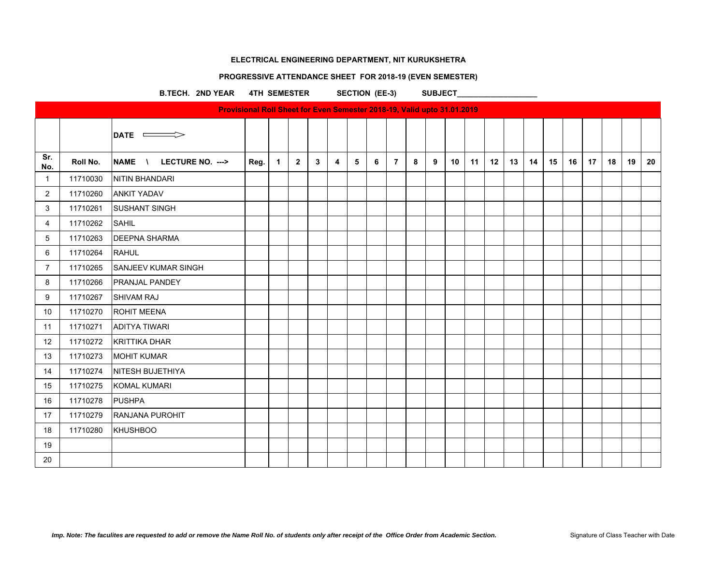# **PROGRESSIVE ATTENDANCE SHEET FOR 2018-19 (EVEN SEMESTER)**

B.TECH. 2ND YEAR 4TH SEMESTER SECTION (EE-3) SUBJECT\_

|                |          | <b>Provisional Roll Sheet for Even Semester 2018-19, Valid upto 31.01.2019</b> |      |   |                |   |   |   |   |                |   |   |    |    |    |    |    |    |    |    |    |    |    |
|----------------|----------|--------------------------------------------------------------------------------|------|---|----------------|---|---|---|---|----------------|---|---|----|----|----|----|----|----|----|----|----|----|----|
|                |          | DATE <b>CONTE</b>                                                              |      |   |                |   |   |   |   |                |   |   |    |    |    |    |    |    |    |    |    |    |    |
| Sr.<br>No.     | Roll No. | NAME \ LECTURE NO. --->                                                        | Reg. | 1 | $\overline{2}$ | 3 | 4 | 5 | 6 | $\overline{7}$ | 8 | 9 | 10 | 11 | 12 | 13 | 14 | 15 | 16 | 17 | 18 | 19 | 20 |
| $\mathbf{1}$   | 11710030 | NITIN BHANDARI                                                                 |      |   |                |   |   |   |   |                |   |   |    |    |    |    |    |    |    |    |    |    |    |
| $\overline{2}$ | 11710260 | <b>ANKIT YADAV</b>                                                             |      |   |                |   |   |   |   |                |   |   |    |    |    |    |    |    |    |    |    |    |    |
| 3              | 11710261 | <b>SUSHANT SINGH</b>                                                           |      |   |                |   |   |   |   |                |   |   |    |    |    |    |    |    |    |    |    |    |    |
| 4              | 11710262 | <b>SAHIL</b>                                                                   |      |   |                |   |   |   |   |                |   |   |    |    |    |    |    |    |    |    |    |    |    |
| 5              | 11710263 | <b>DEEPNA SHARMA</b>                                                           |      |   |                |   |   |   |   |                |   |   |    |    |    |    |    |    |    |    |    |    |    |
| 6              | 11710264 | <b>RAHUL</b>                                                                   |      |   |                |   |   |   |   |                |   |   |    |    |    |    |    |    |    |    |    |    |    |
| $\overline{7}$ | 11710265 | <b>SANJEEV KUMAR SINGH</b>                                                     |      |   |                |   |   |   |   |                |   |   |    |    |    |    |    |    |    |    |    |    |    |
| 8              | 11710266 | <b>PRANJAL PANDEY</b>                                                          |      |   |                |   |   |   |   |                |   |   |    |    |    |    |    |    |    |    |    |    |    |
| 9              | 11710267 | <b>SHIVAM RAJ</b>                                                              |      |   |                |   |   |   |   |                |   |   |    |    |    |    |    |    |    |    |    |    |    |
| 10             | 11710270 | <b>ROHIT MEENA</b>                                                             |      |   |                |   |   |   |   |                |   |   |    |    |    |    |    |    |    |    |    |    |    |
| 11             | 11710271 | <b>ADITYA TIWARI</b>                                                           |      |   |                |   |   |   |   |                |   |   |    |    |    |    |    |    |    |    |    |    |    |
| 12             | 11710272 | <b>KRITTIKA DHAR</b>                                                           |      |   |                |   |   |   |   |                |   |   |    |    |    |    |    |    |    |    |    |    |    |
| 13             | 11710273 | <b>MOHIT KUMAR</b>                                                             |      |   |                |   |   |   |   |                |   |   |    |    |    |    |    |    |    |    |    |    |    |
| 14             | 11710274 | <b>NITESH BUJETHIYA</b>                                                        |      |   |                |   |   |   |   |                |   |   |    |    |    |    |    |    |    |    |    |    |    |
| 15             | 11710275 | <b>KOMAL KUMARI</b>                                                            |      |   |                |   |   |   |   |                |   |   |    |    |    |    |    |    |    |    |    |    |    |
| 16             | 11710278 | PUSHPA                                                                         |      |   |                |   |   |   |   |                |   |   |    |    |    |    |    |    |    |    |    |    |    |
| 17             | 11710279 | <b>RANJANA PUROHIT</b>                                                         |      |   |                |   |   |   |   |                |   |   |    |    |    |    |    |    |    |    |    |    |    |
| 18             | 11710280 | <b>KHUSHBOO</b>                                                                |      |   |                |   |   |   |   |                |   |   |    |    |    |    |    |    |    |    |    |    |    |
| 19             |          |                                                                                |      |   |                |   |   |   |   |                |   |   |    |    |    |    |    |    |    |    |    |    |    |
| 20             |          |                                                                                |      |   |                |   |   |   |   |                |   |   |    |    |    |    |    |    |    |    |    |    |    |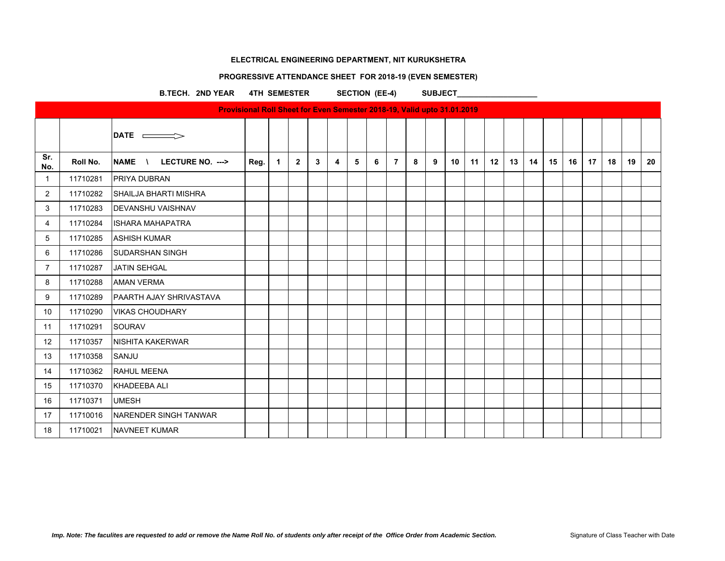# **PROGRESSIVE ATTENDANCE SHEET FOR 2018-19 (EVEN SEMESTER)**

B.TECH. 2ND YEAR 4TH SEMESTER SECTION (EE-4) SUBJECT\_

|                |          | <b>Provisional Roll Sheet for Even Semester 2018-19, Valid upto 31.01.2019</b> |      |              |                |                 |   |   |   |                |   |   |    |    |    |    |    |    |    |                  |    |    |    |
|----------------|----------|--------------------------------------------------------------------------------|------|--------------|----------------|-----------------|---|---|---|----------------|---|---|----|----|----|----|----|----|----|------------------|----|----|----|
|                |          | $\mathsf{DATE} \equiv \equiv$                                                  |      |              |                |                 |   |   |   |                |   |   |    |    |    |    |    |    |    |                  |    |    |    |
| Sr.<br>No.     | Roll No. | NAME \<br>LECTURE NO. --->                                                     | Reg. | $\mathbf{1}$ | $\overline{2}$ | $3\phantom{.0}$ | 4 | 5 | 6 | $\overline{7}$ | 8 | 9 | 10 | 11 | 12 | 13 | 14 | 15 | 16 | 17 <sup>17</sup> | 18 | 19 | 20 |
| $\overline{1}$ | 11710281 | <b>PRIYA DUBRAN</b>                                                            |      |              |                |                 |   |   |   |                |   |   |    |    |    |    |    |    |    |                  |    |    |    |
| $\overline{2}$ | 11710282 | <b>SHAILJA BHARTI MISHRA</b>                                                   |      |              |                |                 |   |   |   |                |   |   |    |    |    |    |    |    |    |                  |    |    |    |
| 3              | 11710283 | <b>DEVANSHU VAISHNAV</b>                                                       |      |              |                |                 |   |   |   |                |   |   |    |    |    |    |    |    |    |                  |    |    |    |
| 4              | 11710284 | <b>ISHARA MAHAPATRA</b>                                                        |      |              |                |                 |   |   |   |                |   |   |    |    |    |    |    |    |    |                  |    |    |    |
| 5              | 11710285 | <b>ASHISH KUMAR</b>                                                            |      |              |                |                 |   |   |   |                |   |   |    |    |    |    |    |    |    |                  |    |    |    |
| 6              | 11710286 | <b>SUDARSHAN SINGH</b>                                                         |      |              |                |                 |   |   |   |                |   |   |    |    |    |    |    |    |    |                  |    |    |    |
| $\overline{7}$ | 11710287 | <b>JATIN SEHGAL</b>                                                            |      |              |                |                 |   |   |   |                |   |   |    |    |    |    |    |    |    |                  |    |    |    |
| 8              | 11710288 | <b>AMAN VERMA</b>                                                              |      |              |                |                 |   |   |   |                |   |   |    |    |    |    |    |    |    |                  |    |    |    |
| 9              | 11710289 | PAARTH AJAY SHRIVASTAVA                                                        |      |              |                |                 |   |   |   |                |   |   |    |    |    |    |    |    |    |                  |    |    |    |
| 10             | 11710290 | <b>VIKAS CHOUDHARY</b>                                                         |      |              |                |                 |   |   |   |                |   |   |    |    |    |    |    |    |    |                  |    |    |    |
| 11             | 11710291 | <b>SOURAV</b>                                                                  |      |              |                |                 |   |   |   |                |   |   |    |    |    |    |    |    |    |                  |    |    |    |
| 12             | 11710357 | <b>NISHITA KAKERWAR</b>                                                        |      |              |                |                 |   |   |   |                |   |   |    |    |    |    |    |    |    |                  |    |    |    |
| 13             | 11710358 | SANJU                                                                          |      |              |                |                 |   |   |   |                |   |   |    |    |    |    |    |    |    |                  |    |    |    |
| 14             | 11710362 | <b>RAHUL MEENA</b>                                                             |      |              |                |                 |   |   |   |                |   |   |    |    |    |    |    |    |    |                  |    |    |    |
| 15             | 11710370 | <b>KHADEEBA ALI</b>                                                            |      |              |                |                 |   |   |   |                |   |   |    |    |    |    |    |    |    |                  |    |    |    |
| 16             | 11710371 | <b>UMESH</b>                                                                   |      |              |                |                 |   |   |   |                |   |   |    |    |    |    |    |    |    |                  |    |    |    |
| 17             | 11710016 | NARENDER SINGH TANWAR                                                          |      |              |                |                 |   |   |   |                |   |   |    |    |    |    |    |    |    |                  |    |    |    |
| 18             | 11710021 | <b>NAVNEET KUMAR</b>                                                           |      |              |                |                 |   |   |   |                |   |   |    |    |    |    |    |    |    |                  |    |    |    |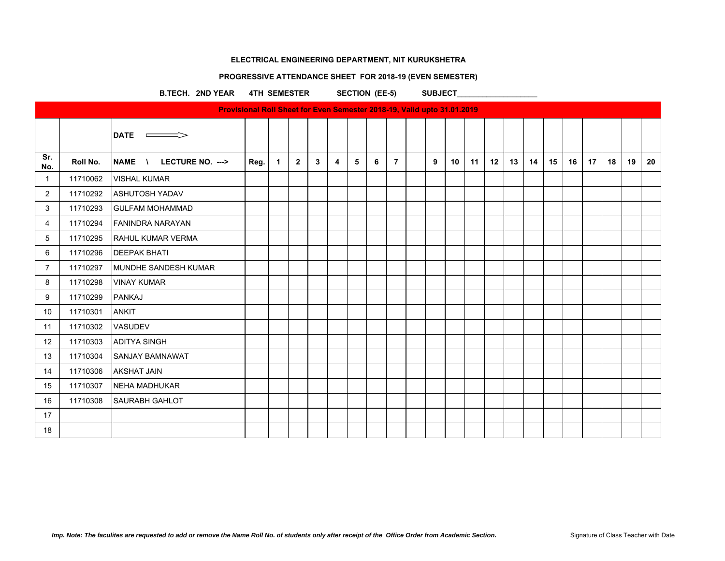# **PROGRESSIVE ATTENDANCE SHEET FOR 2018-19 (EVEN SEMESTER)**

B.TECH. 2ND YEAR 4TH SEMESTER SECTION (EE-5) SUBJECT\_

|                | <b>Provisional Roll Sheet for Even Semester 2018-19, Valid upto 31.01.2019</b> |                            |      |             |                |             |                |   |   |                |  |   |                 |    |    |    |    |    |    |                  |    |    |    |
|----------------|--------------------------------------------------------------------------------|----------------------------|------|-------------|----------------|-------------|----------------|---|---|----------------|--|---|-----------------|----|----|----|----|----|----|------------------|----|----|----|
|                |                                                                                | <b>DATE</b>                |      |             |                |             |                |   |   |                |  |   |                 |    |    |    |    |    |    |                  |    |    |    |
| Sr.<br>No.     | Roll No.                                                                       | NAME \<br>LECTURE NO. ---> | Reg. | $\mathbf 1$ | $\overline{2}$ | $3^{\circ}$ | $\overline{4}$ | 5 | 6 | $\overline{7}$ |  | 9 | 10 <sup>°</sup> | 11 | 12 | 13 | 14 | 15 | 16 | 17 <sup>17</sup> | 18 | 19 | 20 |
| -1             | 11710062                                                                       | <b>VISHAL KUMAR</b>        |      |             |                |             |                |   |   |                |  |   |                 |    |    |    |    |    |    |                  |    |    |    |
| $\overline{2}$ | 11710292                                                                       | <b>ASHUTOSH YADAV</b>      |      |             |                |             |                |   |   |                |  |   |                 |    |    |    |    |    |    |                  |    |    |    |
| 3              | 11710293                                                                       | <b>GULFAM MOHAMMAD</b>     |      |             |                |             |                |   |   |                |  |   |                 |    |    |    |    |    |    |                  |    |    |    |
| 4              | 11710294                                                                       | <b>FANINDRA NARAYAN</b>    |      |             |                |             |                |   |   |                |  |   |                 |    |    |    |    |    |    |                  |    |    |    |
| 5              | 11710295                                                                       | <b>RAHUL KUMAR VERMA</b>   |      |             |                |             |                |   |   |                |  |   |                 |    |    |    |    |    |    |                  |    |    |    |
| 6              | 11710296                                                                       | <b>DEEPAK BHATI</b>        |      |             |                |             |                |   |   |                |  |   |                 |    |    |    |    |    |    |                  |    |    |    |
| $\overline{7}$ | 11710297                                                                       | MUNDHE SANDESH KUMAR       |      |             |                |             |                |   |   |                |  |   |                 |    |    |    |    |    |    |                  |    |    |    |
| 8              | 11710298                                                                       | <b>VINAY KUMAR</b>         |      |             |                |             |                |   |   |                |  |   |                 |    |    |    |    |    |    |                  |    |    |    |
| 9              | 11710299                                                                       | PANKAJ                     |      |             |                |             |                |   |   |                |  |   |                 |    |    |    |    |    |    |                  |    |    |    |
| 10             | 11710301                                                                       | <b>ANKIT</b>               |      |             |                |             |                |   |   |                |  |   |                 |    |    |    |    |    |    |                  |    |    |    |
| 11             | 11710302                                                                       | VASUDEV                    |      |             |                |             |                |   |   |                |  |   |                 |    |    |    |    |    |    |                  |    |    |    |
| 12             | 11710303                                                                       | <b>ADITYA SINGH</b>        |      |             |                |             |                |   |   |                |  |   |                 |    |    |    |    |    |    |                  |    |    |    |
| 13             | 11710304                                                                       | <b>SANJAY BAMNAWAT</b>     |      |             |                |             |                |   |   |                |  |   |                 |    |    |    |    |    |    |                  |    |    |    |
| 14             | 11710306                                                                       | <b>AKSHAT JAIN</b>         |      |             |                |             |                |   |   |                |  |   |                 |    |    |    |    |    |    |                  |    |    |    |
| 15             | 11710307                                                                       | NEHA MADHUKAR              |      |             |                |             |                |   |   |                |  |   |                 |    |    |    |    |    |    |                  |    |    |    |
| 16             | 11710308                                                                       | <b>SAURABH GAHLOT</b>      |      |             |                |             |                |   |   |                |  |   |                 |    |    |    |    |    |    |                  |    |    |    |
| 17             |                                                                                |                            |      |             |                |             |                |   |   |                |  |   |                 |    |    |    |    |    |    |                  |    |    |    |
| 18             |                                                                                |                            |      |             |                |             |                |   |   |                |  |   |                 |    |    |    |    |    |    |                  |    |    |    |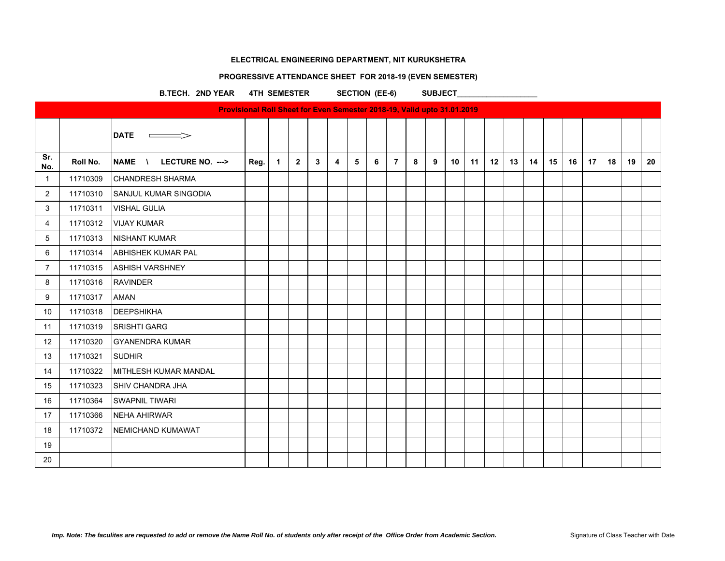#### **PROGRESSIVE ATTENDANCE SHEET FOR 2018-19 (EVEN SEMESTER)**

B.TECH. 2ND YEAR 4TH SEMESTER SECTION (EE-6) SUBJECT\_

|                |          | <b>Provisional Roll Sheet for Even Semester 2018-19, Valid upto 31.01.2019</b> |      |             |                |   |   |   |   |                |   |   |    |    |    |    |    |    |    |    |    |    |    |
|----------------|----------|--------------------------------------------------------------------------------|------|-------------|----------------|---|---|---|---|----------------|---|---|----|----|----|----|----|----|----|----|----|----|----|
|                |          | <b>DATE</b>                                                                    |      |             |                |   |   |   |   |                |   |   |    |    |    |    |    |    |    |    |    |    |    |
| Sr.<br>No.     | Roll No. | <b>NAME</b><br>LECTURE NO. ---><br>$\mathcal{N}$                               | Reg. | $\mathbf 1$ | $\overline{2}$ | 3 | 4 | 5 | 6 | $\overline{7}$ | 8 | 9 | 10 | 11 | 12 | 13 | 14 | 15 | 16 | 17 | 18 | 19 | 20 |
| $\mathbf{1}$   | 11710309 | <b>CHANDRESH SHARMA</b>                                                        |      |             |                |   |   |   |   |                |   |   |    |    |    |    |    |    |    |    |    |    |    |
| $\overline{2}$ | 11710310 | <b>SANJUL KUMAR SINGODIA</b>                                                   |      |             |                |   |   |   |   |                |   |   |    |    |    |    |    |    |    |    |    |    |    |
| 3              | 11710311 | <b>VISHAL GULIA</b>                                                            |      |             |                |   |   |   |   |                |   |   |    |    |    |    |    |    |    |    |    |    |    |
| 4              | 11710312 | <b>VIJAY KUMAR</b>                                                             |      |             |                |   |   |   |   |                |   |   |    |    |    |    |    |    |    |    |    |    |    |
| 5              | 11710313 | <b>NISHANT KUMAR</b>                                                           |      |             |                |   |   |   |   |                |   |   |    |    |    |    |    |    |    |    |    |    |    |
| 6              | 11710314 | <b>ABHISHEK KUMAR PAL</b>                                                      |      |             |                |   |   |   |   |                |   |   |    |    |    |    |    |    |    |    |    |    |    |
| 7              | 11710315 | <b>ASHISH VARSHNEY</b>                                                         |      |             |                |   |   |   |   |                |   |   |    |    |    |    |    |    |    |    |    |    |    |
| 8              | 11710316 | <b>RAVINDER</b>                                                                |      |             |                |   |   |   |   |                |   |   |    |    |    |    |    |    |    |    |    |    |    |
| 9              | 11710317 | <b>AMAN</b>                                                                    |      |             |                |   |   |   |   |                |   |   |    |    |    |    |    |    |    |    |    |    |    |
| 10             | 11710318 | <b>DEEPSHIKHA</b>                                                              |      |             |                |   |   |   |   |                |   |   |    |    |    |    |    |    |    |    |    |    |    |
| 11             | 11710319 | <b>SRISHTI GARG</b>                                                            |      |             |                |   |   |   |   |                |   |   |    |    |    |    |    |    |    |    |    |    |    |
| 12             | 11710320 | <b>GYANENDRA KUMAR</b>                                                         |      |             |                |   |   |   |   |                |   |   |    |    |    |    |    |    |    |    |    |    |    |
| 13             | 11710321 | <b>SUDHIR</b>                                                                  |      |             |                |   |   |   |   |                |   |   |    |    |    |    |    |    |    |    |    |    |    |
| 14             | 11710322 | MITHLESH KUMAR MANDAL                                                          |      |             |                |   |   |   |   |                |   |   |    |    |    |    |    |    |    |    |    |    |    |
| 15             | 11710323 | <b>SHIV CHANDRA JHA</b>                                                        |      |             |                |   |   |   |   |                |   |   |    |    |    |    |    |    |    |    |    |    |    |
| 16             | 11710364 | <b>SWAPNIL TIWARI</b>                                                          |      |             |                |   |   |   |   |                |   |   |    |    |    |    |    |    |    |    |    |    |    |
| 17             | 11710366 | <b>NEHA AHIRWAR</b>                                                            |      |             |                |   |   |   |   |                |   |   |    |    |    |    |    |    |    |    |    |    |    |
| 18             | 11710372 | NEMICHAND KUMAWAT                                                              |      |             |                |   |   |   |   |                |   |   |    |    |    |    |    |    |    |    |    |    |    |
| 19             |          |                                                                                |      |             |                |   |   |   |   |                |   |   |    |    |    |    |    |    |    |    |    |    |    |
| 20             |          |                                                                                |      |             |                |   |   |   |   |                |   |   |    |    |    |    |    |    |    |    |    |    |    |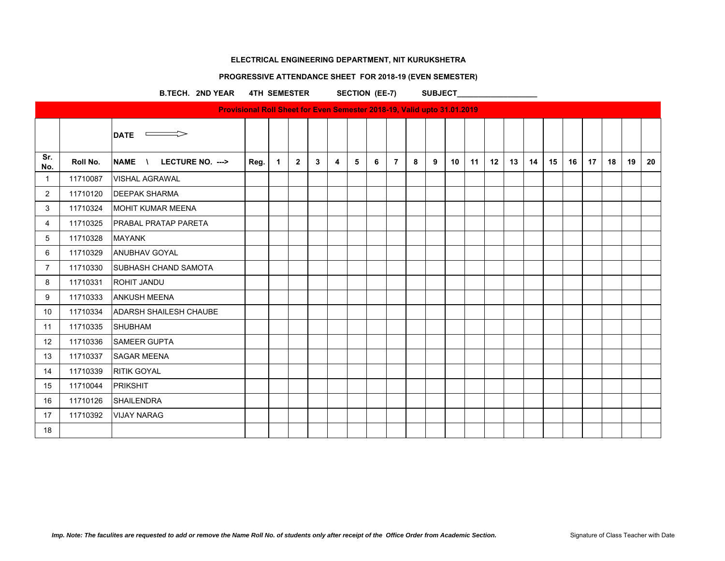#### **PROGRESSIVE ATTENDANCE SHEET FOR 2018-19 (EVEN SEMESTER)**

B.TECH. 2ND YEAR 4TH SEMESTER SECTION (EE-7) SUBJECT\_

|                |          |                                                           | Provisional Roll Sheet for Even Semester 2018-19, Valid upto 31.01.2019 |              |              |             |                         |   |   |                |   |   |    |    |    |    |    |    |    |    |    |    |    |
|----------------|----------|-----------------------------------------------------------|-------------------------------------------------------------------------|--------------|--------------|-------------|-------------------------|---|---|----------------|---|---|----|----|----|----|----|----|----|----|----|----|----|
|                |          | <b>DATE</b><br><b>Contract Contract Contract Contract</b> |                                                                         |              |              |             |                         |   |   |                |   |   |    |    |    |    |    |    |    |    |    |    |    |
| Sr.<br>No.     | Roll No. | <b>NAME</b><br>LECTURE NO. ---><br>$\lambda$              | Reg.                                                                    | $\mathbf{1}$ | $\mathbf{2}$ | $3^{\circ}$ | $\overline{\mathbf{4}}$ | 5 | 6 | $\overline{7}$ | 8 | 9 | 10 | 11 | 12 | 13 | 14 | 15 | 16 | 17 | 18 | 19 | 20 |
| $\mathbf{1}$   | 11710087 | <b>VISHAL AGRAWAL</b>                                     |                                                                         |              |              |             |                         |   |   |                |   |   |    |    |    |    |    |    |    |    |    |    |    |
| $\overline{2}$ | 11710120 | <b>DEEPAK SHARMA</b>                                      |                                                                         |              |              |             |                         |   |   |                |   |   |    |    |    |    |    |    |    |    |    |    |    |
| 3              | 11710324 | <b>MOHIT KUMAR MEENA</b>                                  |                                                                         |              |              |             |                         |   |   |                |   |   |    |    |    |    |    |    |    |    |    |    |    |
| 4              | 11710325 | <b>PRABAL PRATAP PARETA</b>                               |                                                                         |              |              |             |                         |   |   |                |   |   |    |    |    |    |    |    |    |    |    |    |    |
| 5              | 11710328 | <b>MAYANK</b>                                             |                                                                         |              |              |             |                         |   |   |                |   |   |    |    |    |    |    |    |    |    |    |    |    |
| 6              | 11710329 | <b>ANUBHAV GOYAL</b>                                      |                                                                         |              |              |             |                         |   |   |                |   |   |    |    |    |    |    |    |    |    |    |    |    |
| 7              | 11710330 | <b>SUBHASH CHAND SAMOTA</b>                               |                                                                         |              |              |             |                         |   |   |                |   |   |    |    |    |    |    |    |    |    |    |    |    |
| 8              | 11710331 | <b>ROHIT JANDU</b>                                        |                                                                         |              |              |             |                         |   |   |                |   |   |    |    |    |    |    |    |    |    |    |    |    |
| 9              | 11710333 | <b>ANKUSH MEENA</b>                                       |                                                                         |              |              |             |                         |   |   |                |   |   |    |    |    |    |    |    |    |    |    |    |    |
| 10             | 11710334 | <b>ADARSH SHAILESH CHAUBE</b>                             |                                                                         |              |              |             |                         |   |   |                |   |   |    |    |    |    |    |    |    |    |    |    |    |
| 11             | 11710335 | <b>SHUBHAM</b>                                            |                                                                         |              |              |             |                         |   |   |                |   |   |    |    |    |    |    |    |    |    |    |    |    |
| 12             | 11710336 | <b>SAMEER GUPTA</b>                                       |                                                                         |              |              |             |                         |   |   |                |   |   |    |    |    |    |    |    |    |    |    |    |    |
| 13             | 11710337 | <b>SAGAR MEENA</b>                                        |                                                                         |              |              |             |                         |   |   |                |   |   |    |    |    |    |    |    |    |    |    |    |    |
| 14             | 11710339 | <b>RITIK GOYAL</b>                                        |                                                                         |              |              |             |                         |   |   |                |   |   |    |    |    |    |    |    |    |    |    |    |    |
| 15             | 11710044 | PRIKSHIT                                                  |                                                                         |              |              |             |                         |   |   |                |   |   |    |    |    |    |    |    |    |    |    |    |    |
| 16             | 11710126 | <b>SHAILENDRA</b>                                         |                                                                         |              |              |             |                         |   |   |                |   |   |    |    |    |    |    |    |    |    |    |    |    |
| 17             | 11710392 | <b>VIJAY NARAG</b>                                        |                                                                         |              |              |             |                         |   |   |                |   |   |    |    |    |    |    |    |    |    |    |    |    |
| 18             |          |                                                           |                                                                         |              |              |             |                         |   |   |                |   |   |    |    |    |    |    |    |    |    |    |    |    |
|                |          |                                                           |                                                                         |              |              |             |                         |   |   |                |   |   |    |    |    |    |    |    |    |    |    |    |    |